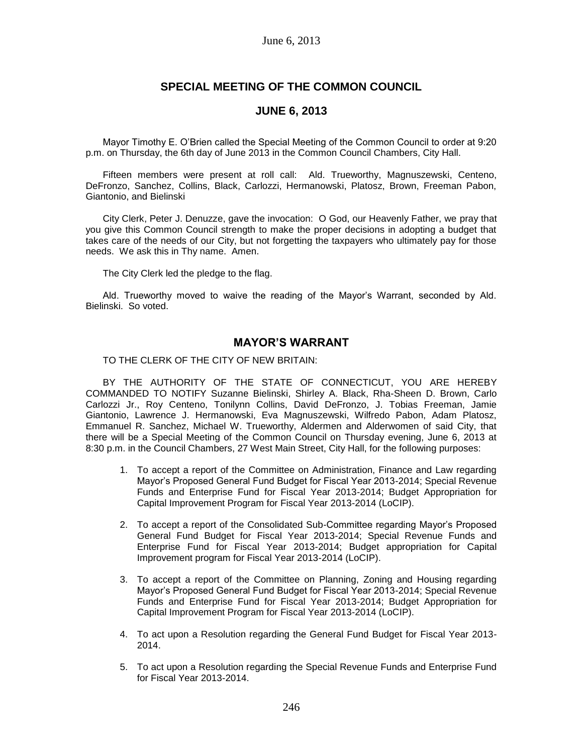# **SPECIAL MEETING OF THE COMMON COUNCIL**

## **JUNE 6, 2013**

Mayor Timothy E. O'Brien called the Special Meeting of the Common Council to order at 9:20 p.m. on Thursday, the 6th day of June 2013 in the Common Council Chambers, City Hall.

Fifteen members were present at roll call: Ald. Trueworthy, Magnuszewski, Centeno, DeFronzo, Sanchez, Collins, Black, Carlozzi, Hermanowski, Platosz, Brown, Freeman Pabon, Giantonio, and Bielinski

City Clerk, Peter J. Denuzze, gave the invocation: O God, our Heavenly Father, we pray that you give this Common Council strength to make the proper decisions in adopting a budget that takes care of the needs of our City, but not forgetting the taxpayers who ultimately pay for those needs. We ask this in Thy name. Amen.

The City Clerk led the pledge to the flag.

Ald. Trueworthy moved to waive the reading of the Mayor's Warrant, seconded by Ald. Bielinski. So voted.

## **MAYOR'S WARRANT**

TO THE CLERK OF THE CITY OF NEW BRITAIN:

BY THE AUTHORITY OF THE STATE OF CONNECTICUT, YOU ARE HEREBY COMMANDED TO NOTIFY Suzanne Bielinski, Shirley A. Black, Rha-Sheen D. Brown, Carlo Carlozzi Jr., Roy Centeno, Tonilynn Collins, David DeFronzo, J. Tobias Freeman, Jamie Giantonio, Lawrence J. Hermanowski, Eva Magnuszewski, Wilfredo Pabon, Adam Platosz, Emmanuel R. Sanchez, Michael W. Trueworthy, Aldermen and Alderwomen of said City, that there will be a Special Meeting of the Common Council on Thursday evening, June 6, 2013 at 8:30 p.m. in the Council Chambers, 27 West Main Street, City Hall, for the following purposes:

- 1. To accept a report of the Committee on Administration, Finance and Law regarding Mayor's Proposed General Fund Budget for Fiscal Year 2013-2014; Special Revenue Funds and Enterprise Fund for Fiscal Year 2013-2014; Budget Appropriation for Capital Improvement Program for Fiscal Year 2013-2014 (LoCIP).
- 2. To accept a report of the Consolidated Sub-Committee regarding Mayor's Proposed General Fund Budget for Fiscal Year 2013-2014; Special Revenue Funds and Enterprise Fund for Fiscal Year 2013-2014; Budget appropriation for Capital Improvement program for Fiscal Year 2013-2014 (LoCIP).
- 3. To accept a report of the Committee on Planning, Zoning and Housing regarding Mayor's Proposed General Fund Budget for Fiscal Year 2013-2014; Special Revenue Funds and Enterprise Fund for Fiscal Year 2013-2014; Budget Appropriation for Capital Improvement Program for Fiscal Year 2013-2014 (LoCIP).
- 4. To act upon a Resolution regarding the General Fund Budget for Fiscal Year 2013- 2014.
- 5. To act upon a Resolution regarding the Special Revenue Funds and Enterprise Fund for Fiscal Year 2013-2014.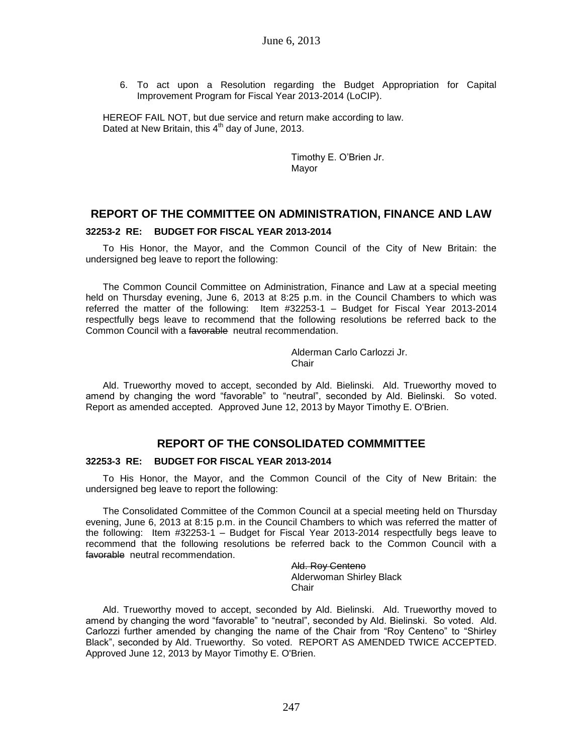6. To act upon a Resolution regarding the Budget Appropriation for Capital Improvement Program for Fiscal Year 2013-2014 (LoCIP).

HEREOF FAIL NOT, but due service and return make according to law. Dated at New Britain, this  $4<sup>th</sup>$  day of June, 2013.

> Timothy E. O'Brien Jr. Mayor

### **REPORT OF THE COMMITTEE ON ADMINISTRATION, FINANCE AND LAW**

#### **32253-2 RE: BUDGET FOR FISCAL YEAR 2013-2014**

To His Honor, the Mayor, and the Common Council of the City of New Britain: the undersigned beg leave to report the following:

The Common Council Committee on Administration, Finance and Law at a special meeting held on Thursday evening, June 6, 2013 at 8:25 p.m. in the Council Chambers to which was referred the matter of the following: Item #32253-1 – Budget for Fiscal Year 2013-2014 respectfully begs leave to recommend that the following resolutions be referred back to the Common Council with a favorable neutral recommendation.

> Alderman Carlo Carlozzi Jr. **Chair**

Ald. Trueworthy moved to accept, seconded by Ald. Bielinski. Ald. Trueworthy moved to amend by changing the word "favorable" to "neutral", seconded by Ald. Bielinski. So voted. Report as amended accepted. Approved June 12, 2013 by Mayor Timothy E. O'Brien.

## **REPORT OF THE CONSOLIDATED COMMMITTEE**

### **32253-3 RE: BUDGET FOR FISCAL YEAR 2013-2014**

To His Honor, the Mayor, and the Common Council of the City of New Britain: the undersigned beg leave to report the following:

The Consolidated Committee of the Common Council at a special meeting held on Thursday evening, June 6, 2013 at 8:15 p.m. in the Council Chambers to which was referred the matter of the following: Item #32253-1 – Budget for Fiscal Year 2013-2014 respectfully begs leave to recommend that the following resolutions be referred back to the Common Council with a favorable neutral recommendation.

> Ald. Roy Centeno Alderwoman Shirley Black **Chair**

Ald. Trueworthy moved to accept, seconded by Ald. Bielinski. Ald. Trueworthy moved to amend by changing the word "favorable" to "neutral", seconded by Ald. Bielinski. So voted. Ald. Carlozzi further amended by changing the name of the Chair from "Roy Centeno" to "Shirley Black", seconded by Ald. Trueworthy. So voted. REPORT AS AMENDED TWICE ACCEPTED. Approved June 12, 2013 by Mayor Timothy E. O'Brien.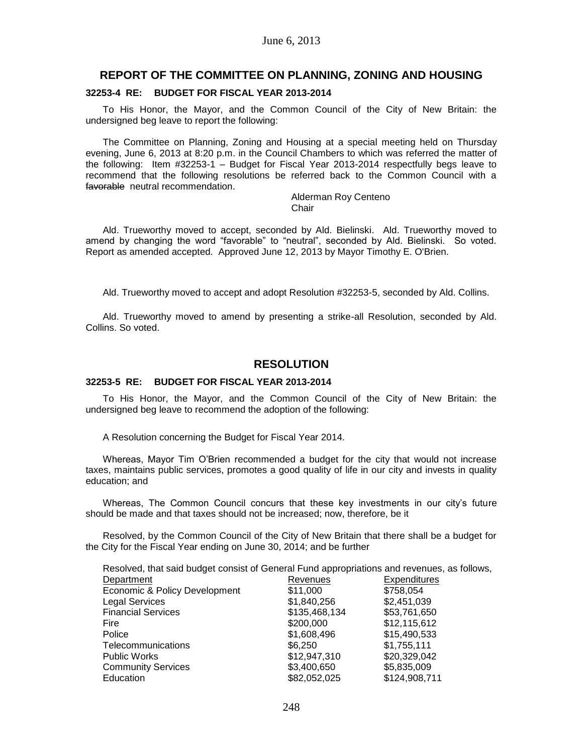### **REPORT OF THE COMMITTEE ON PLANNING, ZONING AND HOUSING**

#### **32253-4 RE: BUDGET FOR FISCAL YEAR 2013-2014**

To His Honor, the Mayor, and the Common Council of the City of New Britain: the undersigned beg leave to report the following:

The Committee on Planning, Zoning and Housing at a special meeting held on Thursday evening, June 6, 2013 at 8:20 p.m. in the Council Chambers to which was referred the matter of the following: Item #32253-1 – Budget for Fiscal Year 2013-2014 respectfully begs leave to recommend that the following resolutions be referred back to the Common Council with a favorable neutral recommendation.

#### Alderman Roy Centeno **Chair**

Ald. Trueworthy moved to accept, seconded by Ald. Bielinski. Ald. Trueworthy moved to amend by changing the word "favorable" to "neutral", seconded by Ald. Bielinski. So voted. Report as amended accepted. Approved June 12, 2013 by Mayor Timothy E. O'Brien.

Ald. Trueworthy moved to accept and adopt Resolution #32253-5, seconded by Ald. Collins.

Ald. Trueworthy moved to amend by presenting a strike-all Resolution, seconded by Ald. Collins. So voted.

### **RESOLUTION**

### **32253-5 RE: BUDGET FOR FISCAL YEAR 2013-2014**

To His Honor, the Mayor, and the Common Council of the City of New Britain: the undersigned beg leave to recommend the adoption of the following:

A Resolution concerning the Budget for Fiscal Year 2014.

Whereas, Mayor Tim O'Brien recommended a budget for the city that would not increase taxes, maintains public services, promotes a good quality of life in our city and invests in quality education; and

Whereas, The Common Council concurs that these key investments in our city's future should be made and that taxes should not be increased; now, therefore, be it

Resolved, by the Common Council of the City of New Britain that there shall be a budget for the City for the Fiscal Year ending on June 30, 2014; and be further

| Resolved, that said budget consist of General Fund appropriations and revenues, as follows, |               |               |
|---------------------------------------------------------------------------------------------|---------------|---------------|
| Department                                                                                  | Revenues      | Expenditures  |
| Economic & Policy Development                                                               | \$11,000      | \$758,054     |
| <b>Legal Services</b>                                                                       | \$1,840,256   | \$2,451,039   |
| <b>Financial Services</b>                                                                   | \$135,468,134 | \$53,761,650  |
| Fire                                                                                        | \$200,000     | \$12,115,612  |
| Police                                                                                      | \$1,608,496   | \$15,490,533  |
| Telecommunications                                                                          | \$6,250       | \$1,755,111   |
| <b>Public Works</b>                                                                         | \$12,947,310  | \$20,329,042  |
| <b>Community Services</b>                                                                   | \$3,400,650   | \$5,835,009   |
| Education                                                                                   | \$82,052,025  | \$124,908,711 |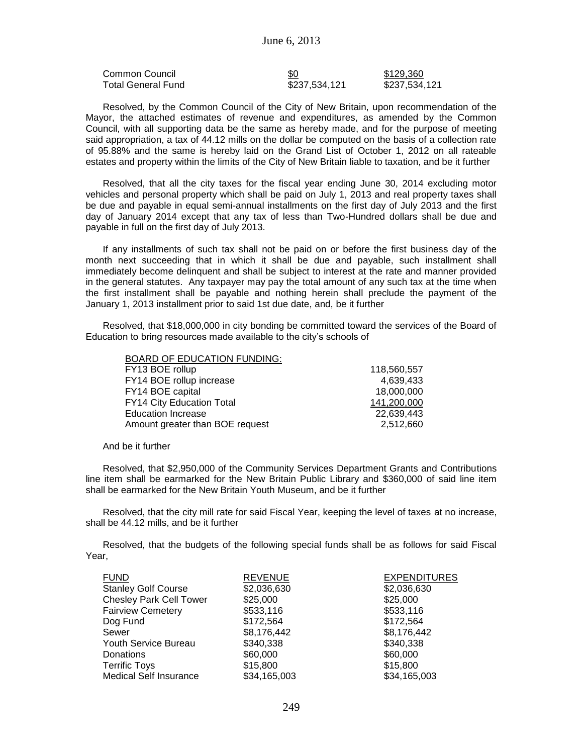| Common Council     | \$0           | \$129.360     |
|--------------------|---------------|---------------|
| Total General Fund | \$237,534,121 | \$237,534,121 |

Resolved, by the Common Council of the City of New Britain, upon recommendation of the Mayor, the attached estimates of revenue and expenditures, as amended by the Common Council, with all supporting data be the same as hereby made, and for the purpose of meeting said appropriation, a tax of 44.12 mills on the dollar be computed on the basis of a collection rate of 95.88% and the same is hereby laid on the Grand List of October 1, 2012 on all rateable estates and property within the limits of the City of New Britain liable to taxation, and be it further

Resolved, that all the city taxes for the fiscal year ending June 30, 2014 excluding motor vehicles and personal property which shall be paid on July 1, 2013 and real property taxes shall be due and payable in equal semi-annual installments on the first day of July 2013 and the first day of January 2014 except that any tax of less than Two-Hundred dollars shall be due and payable in full on the first day of July 2013.

If any installments of such tax shall not be paid on or before the first business day of the month next succeeding that in which it shall be due and payable, such installment shall immediately become delinquent and shall be subject to interest at the rate and manner provided in the general statutes. Any taxpayer may pay the total amount of any such tax at the time when the first installment shall be payable and nothing herein shall preclude the payment of the January 1, 2013 installment prior to said 1st due date, and, be it further

Resolved, that \$18,000,000 in city bonding be committed toward the services of the Board of Education to bring resources made available to the city's schools of

| 118,560,557 |
|-------------|
| 4,639,433   |
| 18,000,000  |
| 141,200,000 |
| 22,639,443  |
| 2,512,660   |
|             |

#### And be it further

Resolved, that \$2,950,000 of the Community Services Department Grants and Contributions line item shall be earmarked for the New Britain Public Library and \$360,000 of said line item shall be earmarked for the New Britain Youth Museum, and be it further

Resolved, that the city mill rate for said Fiscal Year, keeping the level of taxes at no increase, shall be 44.12 mills, and be it further

Resolved, that the budgets of the following special funds shall be as follows for said Fiscal Year,

| <b>FUND</b>                    | <b>REVENUE</b> | <b>EXPENDITURES</b> |
|--------------------------------|----------------|---------------------|
| <b>Stanley Golf Course</b>     | \$2,036,630    | \$2,036,630         |
| <b>Chesley Park Cell Tower</b> | \$25,000       | \$25,000            |
| <b>Fairview Cemetery</b>       | \$533,116      | \$533,116           |
| Dog Fund                       | \$172,564      | \$172,564           |
| Sewer                          | \$8,176,442    | \$8,176,442         |
| Youth Service Bureau           | \$340,338      | \$340,338           |
| Donations                      | \$60,000       | \$60,000            |
| <b>Terrific Toys</b>           | \$15,800       | \$15,800            |
| <b>Medical Self Insurance</b>  | \$34,165,003   | \$34,165,003        |
|                                |                |                     |